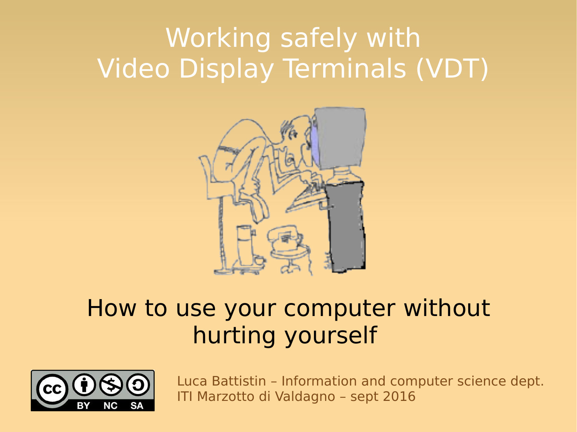# Working safely with Video Display Terminals (VDT)



#### How to use your computer without hurting yourself

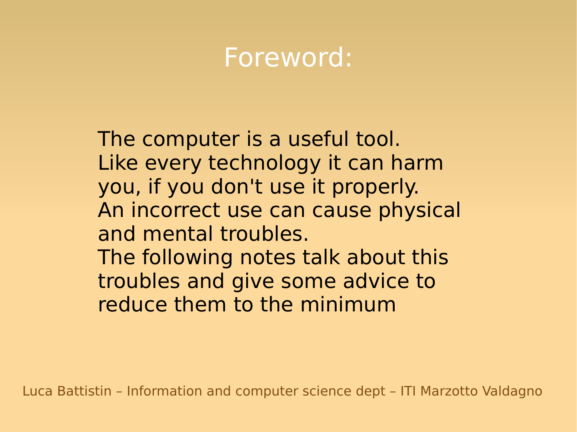### Foreword:

The computer is a useful tool. Like every technology it can harm you, if you don't use it properly. An incorrect use can cause physical and mental troubles. The following notes talk about this troubles and give some advice to reduce them to the minimum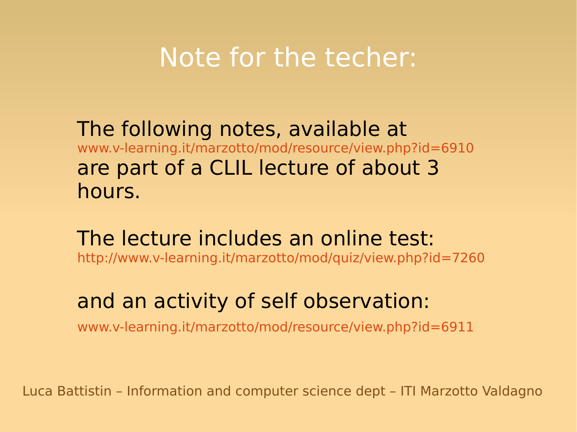#### Note for the techer:

The following notes, available at [www.v-learning.it/marzotto/mod/resource/view.php?id=6910](http://www.v-learning.it/marzotto/mod/resource/view.php?id=6910) are part of a CLIL lecture of about 3 hours.

The lecture includes an online test: <http://www.v-learning.it/marzotto/mod/quiz/view.php?id=7260>

#### and an activity of self observation:

[www.v-learning.it/marzotto/mod/resource/view.php?id=6911](http://www.v-learning.it/marzotto/mod/resource/view.php?id=6911)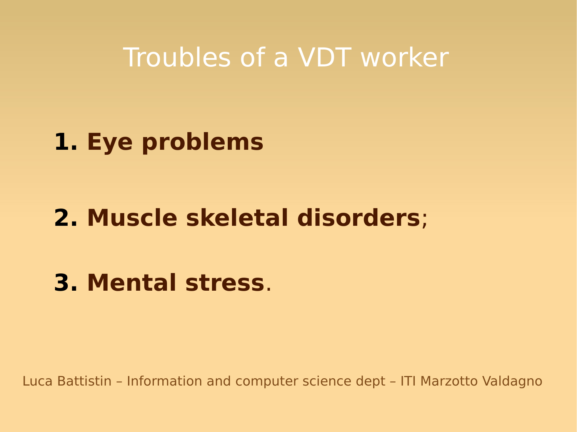#### Troubles of a VDT worker

#### **1. Eye problems**

#### **2. Muscle skeletal disorders**;

#### **3. Mental stress**.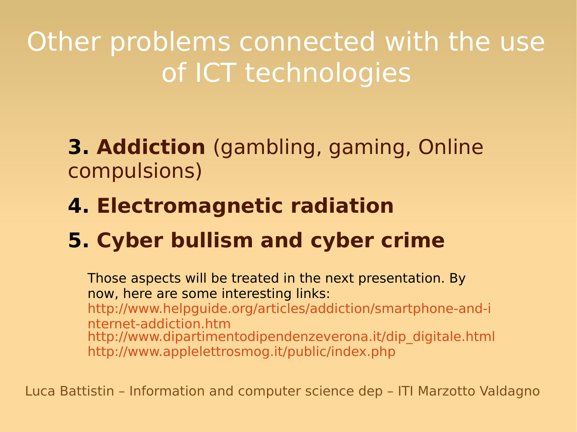Other problems connected with the use of ICT technologies

**3. Addiction** (gambling, gaming, Online compulsions)

- **4. Electromagnetic radiation**
- **5. Cyber bullism and cyber crime**

Those aspects will be treated in the next presentation. By now, here are some interesting links: [http://www.helpguide.org/articles/addiction/smartphone-and-i](http://www.helpguide.org/articles/addiction/smartphone-and-internet-addiction.htm) [nternet-addiction.htm](http://www.helpguide.org/articles/addiction/smartphone-and-internet-addiction.htm) [http://www.dipartimentodipendenzeverona.it/dip\\_digitale.html](http://www.dipartimentodipendenzeverona.it/dip_digitale.html) <http://www.applelettrosmog.it/public/index.php>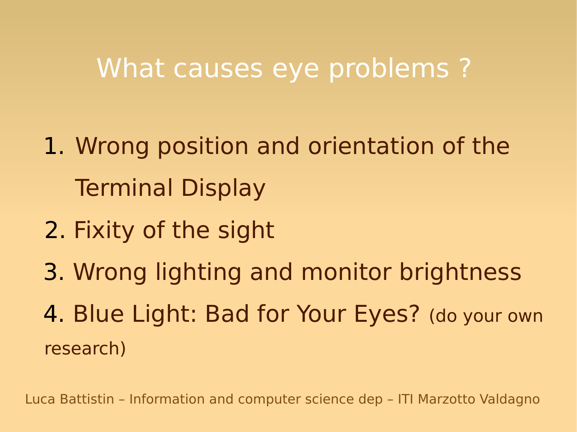#### What causes eye problems ?

- 1. Wrong position and orientation of the Terminal Display
- 2. Fixity of the sight
- 3. Wrong lighting and monitor brightness
- 4. Blue Light: Bad for Your Eyes? (do your own research)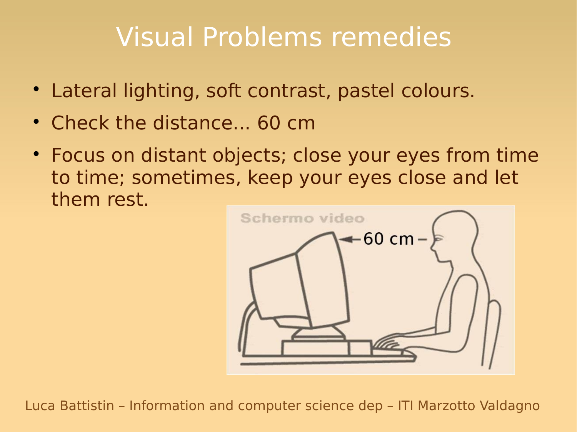# Visual Problems remedies

- Lateral lighting, soft contrast, pastel colours.
- Check the distance... 60 cm
- Focus on distant objects; close your eyes from time to time; sometimes, keep your eyes close and let them rest.

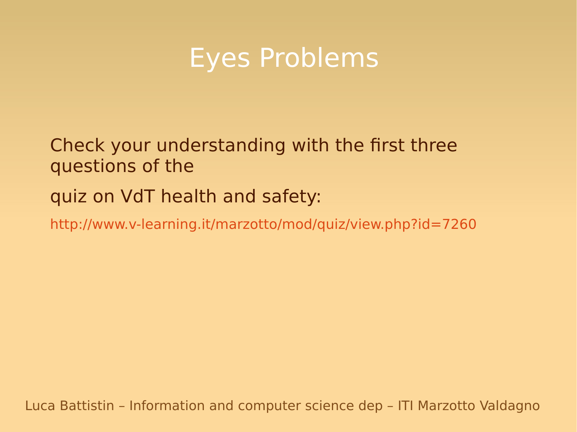#### Eyes Problems

Check your understanding with the first three questions of the

#### quiz on VdT health and safety:

<http://www.v-learning.it/marzotto/mod/quiz/view.php?id=7260>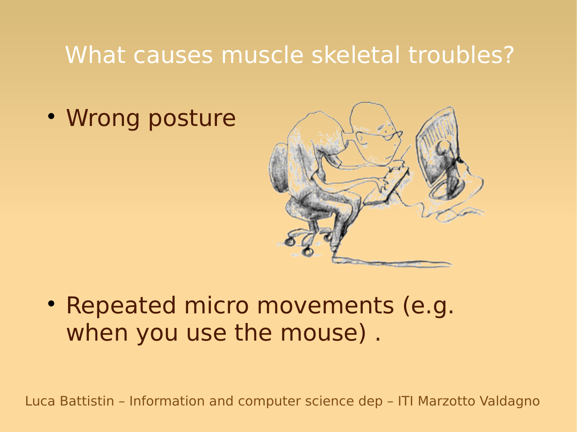#### What causes muscle skeletal troubles?

Wrong posture



• Repeated micro movements (e.g. when you use the mouse) .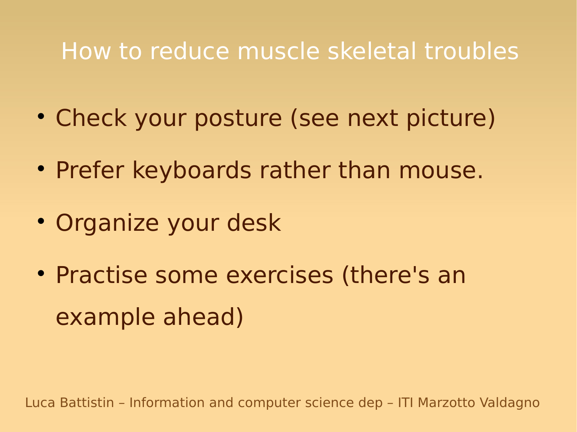#### How to reduce muscle skeletal troubles

- Check your posture (see next picture)
- Prefer keyboards rather than mouse.
- Organize your desk
- Practise some exercises (there's an example ahead)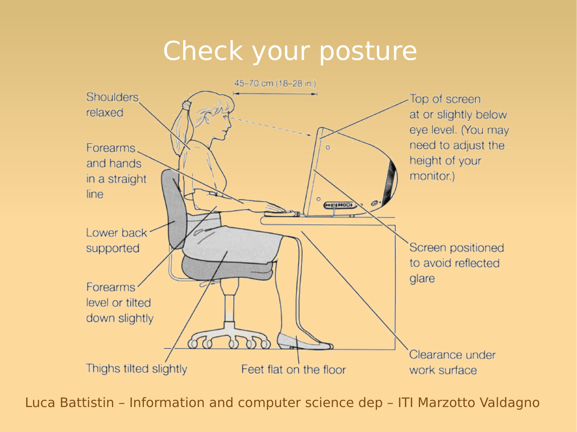# Check your posture

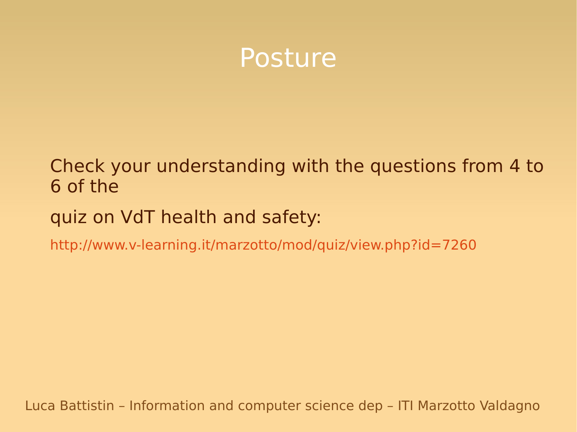

#### Check your understanding with the questions from 4 to 6 of the

#### quiz on VdT health and safety:

<http://www.v-learning.it/marzotto/mod/quiz/view.php?id=7260>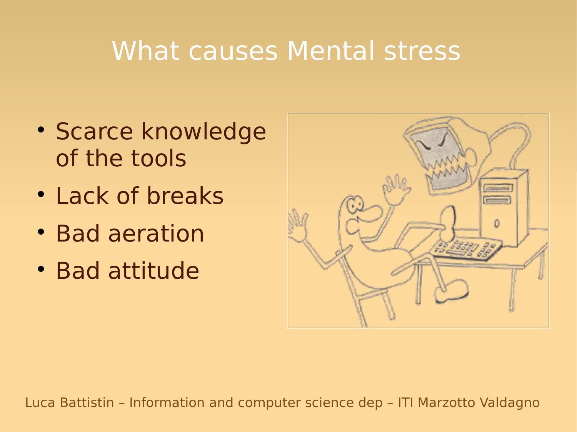## What causes Mental stress

- Scarce knowledge of the tools
- Lack of breaks
- Bad aeration
- Bad attitude

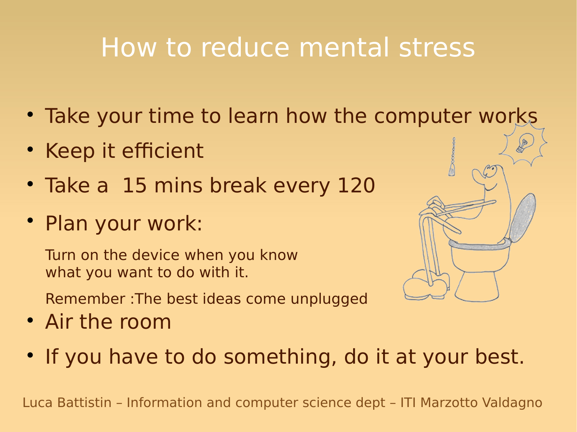# How to reduce mental stress

- Take your time to learn how the computer works
- Keep it efficient
- Take a 15 mins break every 120
- Plan your work:

Turn on the device when you know what you want to do with it.

Remember :The best ideas come unplugged

- Air the room
- If you have to do something, do it at your best.

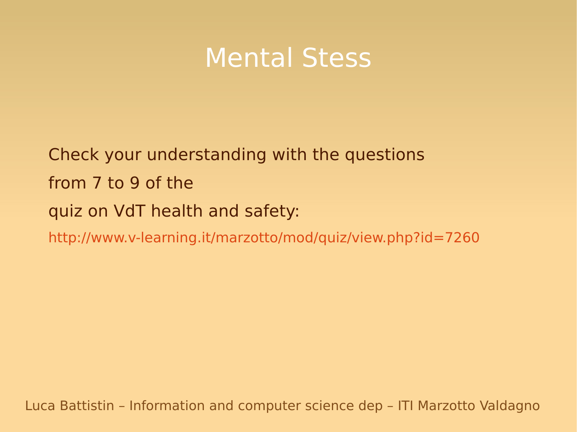#### Mental Stess

Check your understanding with the questions from 7 to 9 of the quiz on VdT health and safety: <http://www.v-learning.it/marzotto/mod/quiz/view.php?id=7260>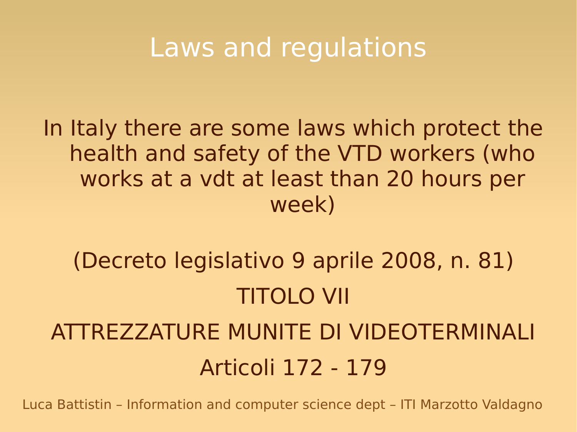### Laws and regulations

In Italy there are some laws which protect the health and safety of the VTD workers (who works at a vdt at least than 20 hours per week)

(Decreto legislativo 9 aprile 2008, n. 81) TITOLO VII ATTREZZATURE MUNITE DI VIDEOTERMINALI Articoli 172 - 179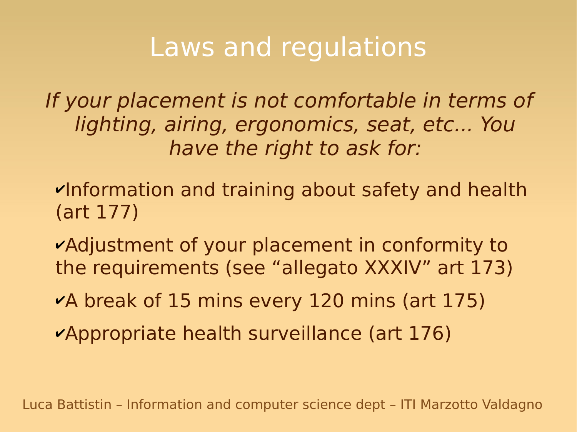### Laws and regulations

If your placement is not comfortable in terms of lighting, airing, ergonomics, seat, etc... You have the right to ask for:

- ✔Information and training about safety and health (art 177)
- ✔Adjustment of your placement in conformity to the requirements (see "allegato XXXIV" art 173)
- ✔A break of 15 mins every 120 mins (art 175)
- ✔Appropriate health surveillance (art 176)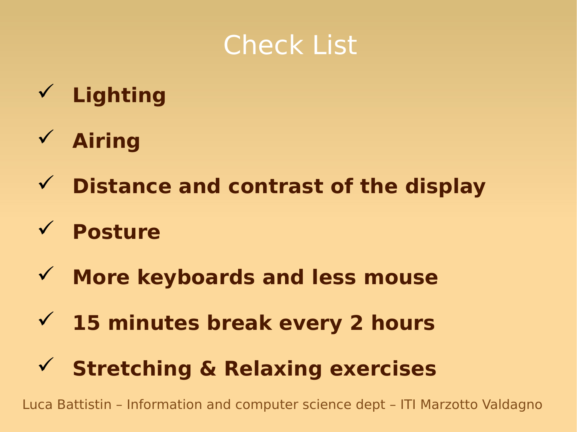### Check List

- **Lighting**
- **Airing**
- **Distance and contrast of the display**
- **Posture**
- **More keyboards and less mouse**
- **15 minutes break every 2 hours**
- **Stretching & Relaxing exercises**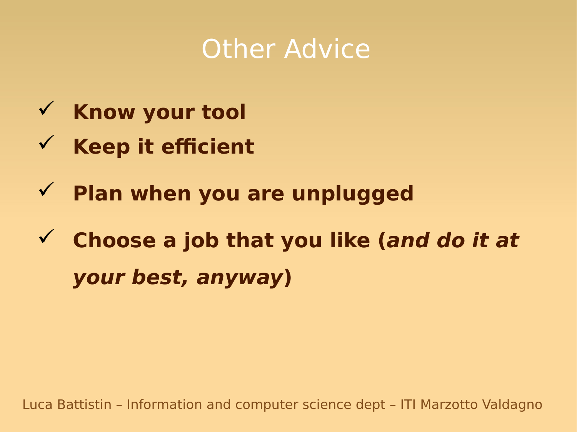# **Other Advice**

- **Know your tool**
- **Keep it efficient**
- **Plan when you are unplugged**
- **Choose a job that you like (and do it at your best, anyway)**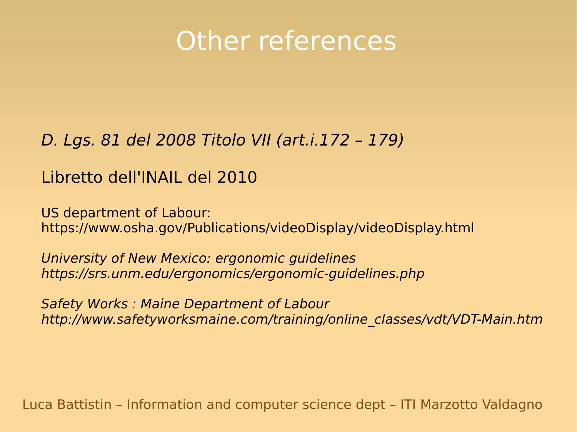# Other references

#### [D. Lgs. 81 del 2008](http://www.altalex.com/index.php?idnot=51689#titolo7) Titolo VII (art.i.172 – 179)

#### [Libretto dell'INAIL](http://www.cnit.it/sites/default/files/files/LavoroVideoterminale.pdf) del 2010

US department of Labour: <https://www.osha.gov/Publications/videoDisplay/videoDisplay.html>

University of New Mexico: ergonomic guidelines <https://srs.unm.edu/ergonomics/ergonomic-guidelines.php>

Safety Works : Maine Department of Labour [http://www.safetyworksmaine.com/training/online\\_classes/vdt/VDT-Main.htm](http://www.safetyworksmaine.com/training/online_classes/vdt/VDT-Main.htm)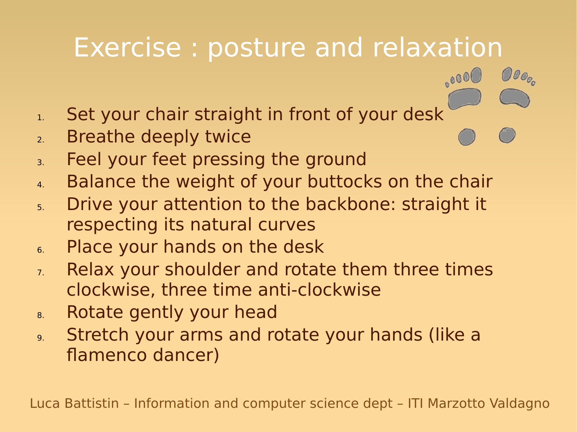# Exercise : posture and relaxation

 $OOo_{o}$ 

 $_{\circ}$ 000

- 1. Set your chair straight in front of your desk
- 2. Breathe deeply twice
- 3. Feel your feet pressing the ground
- 4. Balance the weight of your buttocks on the chair
- 5. Drive your attention to the backbone: straight it respecting its natural curves
- 6. Place your hands on the desk
- 7. Relax your shoulder and rotate them three times clockwise, three time anti-clockwise
- 8. Rotate gently your head
- 9. Stretch your arms and rotate your hands (like a flamenco dancer)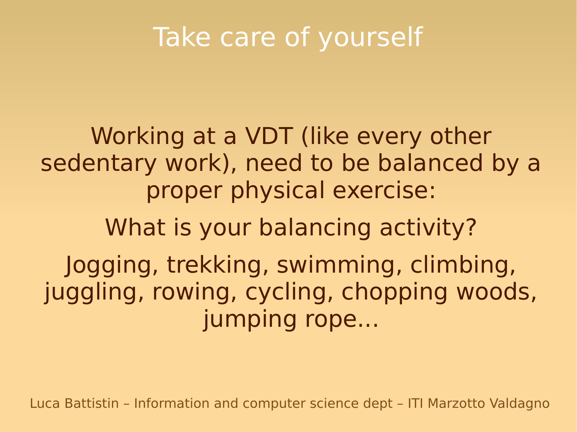# Take care of yourself

Working at a VDT (like every other sedentary work), need to be balanced by a proper physical exercise: What is your balancing activity? Jogging, trekking, swimming, climbing, juggling, rowing, cycling, chopping woods, jumping rope...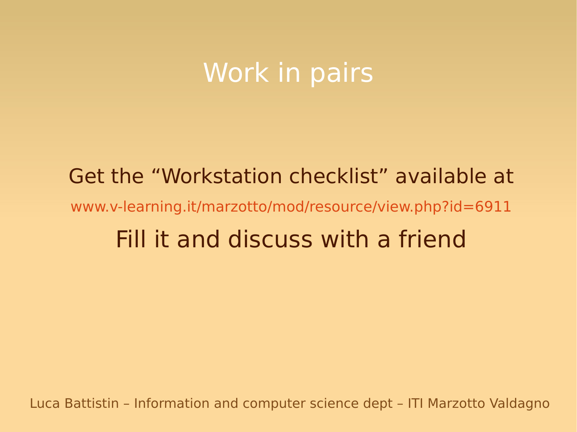### Work in pairs

# Get the "Workstation checklist" available at [www.v-learning.it/marzotto/mod/resource/view.php?id=6911](http://www.v-learning.it/marzotto/mod/resource/view.php?id=6911) Fill it and discuss with a friend